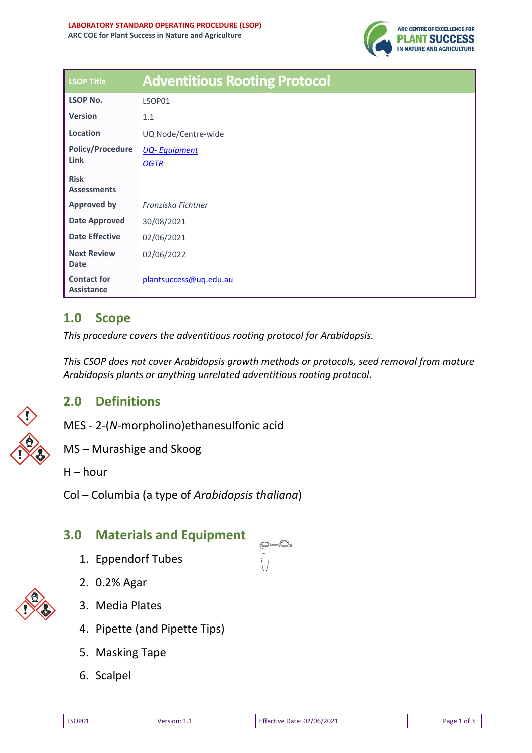

| <b>LSOP Title</b>                       | <b>Adventitious Rooting Protocol</b> |
|-----------------------------------------|--------------------------------------|
| <b>LSOP No.</b>                         | LSOP01                               |
| <b>Version</b>                          | 1.1                                  |
| Location                                | UQ Node/Centre-wide                  |
| <b>Policy/Procedure</b>                 | <b>UQ-Equipment</b>                  |
| Link                                    | <b>OGTR</b>                          |
| <b>Risk</b>                             |                                      |
| <b>Assessments</b>                      |                                      |
| <b>Approved by</b>                      | Franziska Fichtner                   |
| <b>Date Approved</b>                    | 30/08/2021                           |
| <b>Date Effective</b>                   | 02/06/2021                           |
| <b>Next Review</b>                      | 02/06/2022                           |
| <b>Date</b>                             |                                      |
| <b>Contact for</b><br><b>Assistance</b> | plantsuccess@uq.edu.au               |

# **1.0 Scope**

*This procedure covers the adventitious rooting protocol for Arabidopsis.*

*This CSOP does not cover Arabidopsis growth methods or protocols, seed removal from mature Arabidopsis plants or anything unrelated adventitious rooting protocol.* 

## **2.0 Definitions**



MS – Murashige and Skoog

 $H - hour$ 

Col – Columbia (a type of *Arabidopsis thaliana*)

## **3.0 Materials and Equipment**

- 1. Eppendorf Tubes
- 2. 0.2% Agar



- 3. Media Plates
- 4. Pipette (and Pipette Tips)
- 5. Masking Tape
- 6. Scalpel

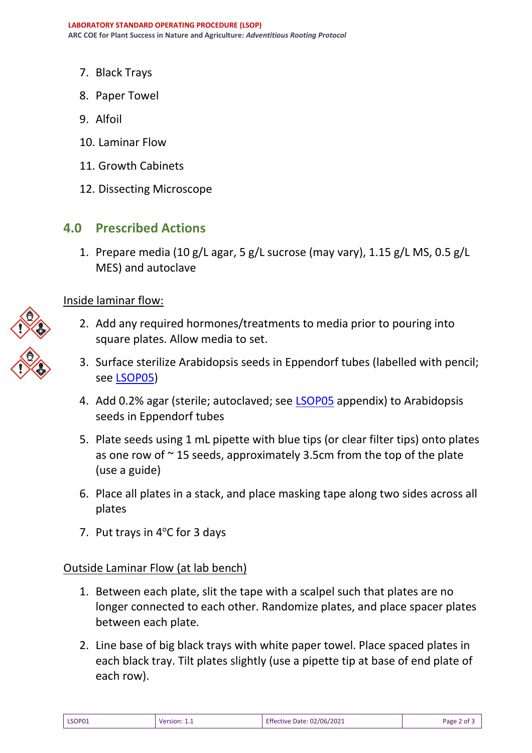- 7. Black Trays
- 8. Paper Towel
- 9. Alfoil
- 10. Laminar Flow
- 11. Growth Cabinets
- 12. Dissecting Microscope

### **4.0 Prescribed Actions**

1. Prepare media (10 g/L agar, 5 g/L sucrose (may vary), 1.15 g/L MS, 0.5 g/L MES) and autoclave

#### Inside laminar flow:

- 2. Add any required hormones/treatments to media prior to pouring into square plates. Allow media to set.
- 3. Surface sterilize Arabidopsis seeds in Eppendorf tubes (labelled with pencil; see [LSOP05\)](file://///nas02.storage.uq.edu.au/Volumes/SCI/BIOL/Research/Beveridge/Hannah/Completed%20SOPs/CSOP05%20-%20Arabidopsis%20Seed%20Surface%20Sterilisation%20Final.docx)
- 4. Add 0.2% agar (sterile; autoclaved; see [LSOP05](file://///nas02.storage.uq.edu.au/Volumes/SCI/BIOL/Research/Beveridge/Hannah/Completed%20SOPs/CSOP05%20-%20Arabidopsis%20Seed%20Surface%20Sterilisation%20Final.docx) appendix) to Arabidopsis seeds in Eppendorf tubes
- 5. Plate seeds using 1 mL pipette with blue tips (or clear filter tips) onto plates as one row of  $\sim$  15 seeds, approximately 3.5cm from the top of the plate (use a guide)
- 6. Place all plates in a stack, and place masking tape along two sides across all plates
- 7. Put trays in  $4^{\circ}$ C for 3 days

### Outside Laminar Flow (at lab bench)

- 1. Between each plate, slit the tape with a scalpel such that plates are no longer connected to each other. Randomize plates, and place spacer plates between each plate.
- 2. Line base of big black trays with white paper towel. Place spaced plates in each black tray. Tilt plates slightly (use a pipette tip at base of end plate of each row).